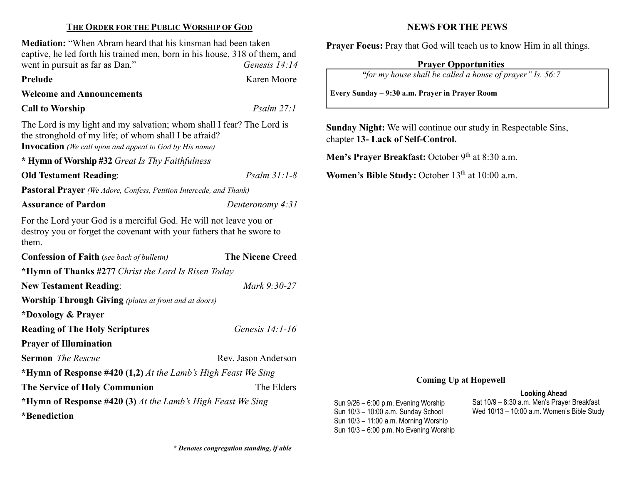#### THE ORDER FOR THE PUBLIC WORSHIP OF GOD

Mediation: "When Abram heard that his kinsman had been taken captive, he led forth his trained men, born in his house, 318 of them, and went in pursuit as far as Dan." Genesis 14:14

Prelude Karen Moore

#### Welcome and Announcements

## Call to Worship Psalm 27:1

The Lord is my light and my salvation; whom shall I fear? The Lord is the stronghold of my life; of whom shall I be afraid? Invocation (We call upon and appeal to God by His name)

\* Hymn of Worship #32 Great Is Thy Faithfulness

Old Testament Reading: Psalm 31:1-8

Pastoral Prayer (We Adore, Confess, Petition Intercede, and Thank)

#### Assurance of Pardon Deuteronomy 4:31

For the Lord your God is a merciful God. He will not leave you or destroy you or forget the covenant with your fathers that he swore to them.

| <b>Confession of Faith</b> (see back of bulletin)             | <b>The Nicene Creed</b> |  |  |  |
|---------------------------------------------------------------|-------------------------|--|--|--|
| *Hymn of Thanks #277 Christ the Lord Is Risen Today           |                         |  |  |  |
| <b>New Testament Reading:</b>                                 | Mark 9:30-27            |  |  |  |
| <b>Worship Through Giving</b> (plates at front and at doors)  |                         |  |  |  |
| *Doxology & Prayer                                            |                         |  |  |  |
| <b>Reading of The Holy Scriptures</b>                         | Genesis $14:1-16$       |  |  |  |
| <b>Prayer of Illumination</b>                                 |                         |  |  |  |
| <b>Sermon</b> <i>The Rescue</i>                               | Rev. Jason Anderson     |  |  |  |
| *Hymn of Response #420 (1,2) At the Lamb's High Feast We Sing |                         |  |  |  |
| The Service of Holy Communion                                 | The Elders              |  |  |  |
| *Hymn of Response #420 (3) At the Lamb's High Feast We Sing   |                         |  |  |  |
| *Benediction                                                  |                         |  |  |  |

#### NEWS FOR THE PEWS

Prayer Focus: Pray that God will teach us to know Him in all things.

### Prayer Opportunities

"for my house shall be called a house of prayer" Is. 56:7

Every Sunday – 9:30 a.m. Prayer in Prayer Room

Sunday Night: We will continue our study in Respectable Sins, chapter 13- Lack of Self-Control.

Men's Prayer Breakfast: October 9<sup>th</sup> at 8:30 a.m.

Women's Bible Study: October 13<sup>th</sup> at 10:00 a.m.

Sun 9/26 – 6:00 p.m. Evening Worship Sun 10/3 – 10:00 a.m. Sunday School Sun 10/3 – 11:00 a.m. Morning Worship Sun 10/3 – 6:00 p.m. No Evening Worship

#### Coming Up at Hopewell

Sat 10/9 – 8:30 a.m. Men's Prayer Breakfast Wed 10/13 – 10:00 a.m. Women's Bible Study